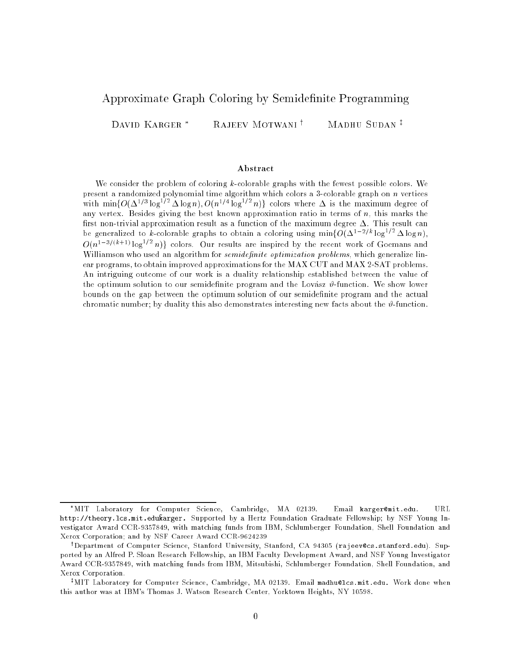#### Approximate Graph Coloring by Semidefinite Programming

DAVID KARGER<sup>\*</sup> RAJEEV MOTWANI<sup>†</sup> MADHU SUDAN<sup>‡</sup>

#### Abstract

We consider the problem of coloring k-colorable graphs with the fewest possible colors. We present a randomized polynomial time algorithm which colors a 3-colorable graph on <sup>n</sup> vertices with  $\min\{O(\Delta^{1/2}\log^4) \mid O(n^{1/2}\log^4) \mid n\}$  colors where  $\Delta$  is the maximum degree of any vertex. Besides giving the best known approximation ratio in terms of n, this marks the first non-trivial approximation result as a function of the maximum degree  $\Delta$ . This result can be generalized to k-colorable graphs to obtain a coloring using  $\min\{O(\Delta^{1-\frac{2}{n}}\log^2)\}$ .  $O(n^{1-2/(n+1)})\log^{1/2}n$  colors. Our results are inspired by the recent work of Goemans and Williamson who used an algorithm for *semidefinite optimization problems*, which generalize linear programs, to obtain improved approximations for the MAX CUT and MAX 2-SAT problems. An intriguing outcome of our work is a duality relationship established between the value of the optimum solution to our semidefinite program and the Lovasz  $\vartheta$ -function. We show lower bounds on the gap between the optimum solution of our semidefinite program and the actual chromatic number; by duality this also demonstrates interesting new facts about the  $\vartheta$ -function.

MIT Laboratory for Computer Science, Cambridge, MA 02139. Email karger@mit.edu. URL http://theory.lcs.mit.edu~karger. Supported by a Hertz Foundation Graduate Fellowship; by NSF Young Investigator Award CCR-9357849, with matching funds from IBM, Schlumberger Foundation, Shell Foundation and Xerox Corporation; and by NSF Career Award CCR-9624239

<sup>y</sup> Department of Computer Science, Stanford University, Stanford, CA 94305 (rajeev@cs.stanford.edu). Supported by an Alfred P. Sloan Research Fellowship, an IBM Faculty Development Award, and NSF Young Investigator Award CCR-9357849, with matching funds from IBM, Mitsubishi, Schlumberger Foundation, Shell Foundation, and Xerox Corporation.

 $^{\ddagger}$ MIT Laboratory for Computer Science, Cambridge, MA 02139. Email madhu@lcs.mit.edu. Work done when this author was at IBM's Thomas J. Watson Research Center, Yorktown Heights, NY 10598.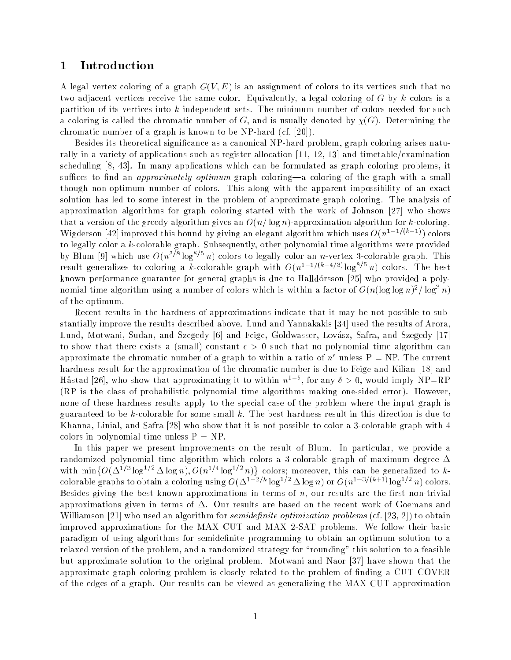#### 1 Introduction

A legal vertex coloring of a graph  $G(V, E)$  is an assignment of colors to its vertices such that no two adjacent vertices receive the same color. Equivalently, a legal coloring of G by k colors is a partition of its vertices into k independent sets. The minimum number of colors needed for such a coloring is called the chromatic number of G, and is usually denoted by  $\chi(G)$ . Determining the chromatic number of a graph is known to be NP-hard (cf. [20]).

Besides its theoretical signicance as a canonical NP-hard problem, graph coloring arises naturally in a variety of applications such as register allocation [11, 12, 13] and timetable/examination scheduling [8, 43]. In many applications which can be formulated as graph coloring problems, it suffices to find an *approximately optimum* graph coloring—a coloring of the graph with a small though non-optimum number of colors. This along with the apparent impossibility of an exact solution has led to some interest in the problem of approximate graph coloring. The analysis of approximation algorithms for graph coloring started with the work of Johnson [27] who shows that a version of the greedy algorithm gives an  $O(n/\log n)$ -approximation algorithm for k-coloring. Wigderson [42] improved this bound by giving an elegant algorithm which uses  $O(n^{1-1/(k-1)})$  colors to legally color a  $k$ -colorable graph. Subsequently, other polynomial time algorithms were provided by Blum [9] which use  $O(n^{3/8} \log^{8/5} n)$  colors to legally color an n-vertex 3-colorable graph. This result generalizes to coloring a k-colorable graph with  $O(n^{1-1/(k-4/3)}\log^{8/5}n)$  colors. The best known performance guarantee for general graphs is due to Halldórsson [25] who provided a polynomial time algorithm using a number of colors which is within a factor of  $O(n(\log \log n)^2/\log^3 n)$ of the optimum.

Recent results in the hardness of approximations indicate that it may be not possible to substantially improve the results described above. Lund and Yannakakis [34] used the results of Arora, Lund, Motwani, Sudan, and Szegedy [6] and Feige, Goldwasser, Lovász, Safra, and Szegedy [17] to show that there exists a (small) constant  $\epsilon > 0$  such that no polynomial time algorithm can approximate the chromatic number of a graph to within a ratio of  $n^{\circ}$  unless  $P = NP.$  The current hardness result for the approximation of the chromatic number is due to Feige and Kilian [18] and Håstad [26], who show that approximating it to within  $n^{1-\delta}$ , for any  $\delta > 0$ , would imply NP=RP (RP is the class of probabilistic polynomial time algorithms making one-sided error). However, none of these hardness results apply to the special case of the problem where the input graph is guaranteed to be k-colorable for some small k. The best hardness result in this direction is due to Khanna, Linial, and Safra [28] who show that it is not possible to color a 3-colorable graph with 4 colors in polynomial time unless  $P = NP$ .

In this paper we present improvements on the result of Blum. In particular, we provide a randomized polynomial time algorithm which colors a 3-colorable graph of maximum degree  $\Delta$ with  $\min\{O(\Delta^{1/3}\log^{1/2}\Delta\log n), O(n^{1/4}\log^{1/2}n)\}\$ colors; moreover, this can be generalized to kcolorable graphs to obtain a coloring using  $O(\Delta^{1-2/k} \log^{1/2} \Delta \log n)$  or  $O(n^{1-3/(k+1)} \log^{1/2} n)$  colors. Besides giving the best known approximations in terms of  $n$ , our results are the first non-trivial approximations given in terms of  $\Delta$ . Our results are based on the recent work of Goemans and Williamson [21] who used an algorithm for *semidefinite optimization problems* (cf.  $[23, 2]$ ) to obtain improved approximations for the MAX CUT and MAX 2-SAT problems. We follow their basic paradigm of using algorithms for semidefinite programming to obtain an optimum solution to a relaxed version of the problem, and a randomized strategy for "rounding" this solution to a feasible but approximate solution to the original problem. Motwani and Naor [37] have shown that the approximate graph coloring problem is closely related to the problem of nding a CUT COVER of the edges of a graph. Our results can be viewed as generalizing the MAX CUT approximation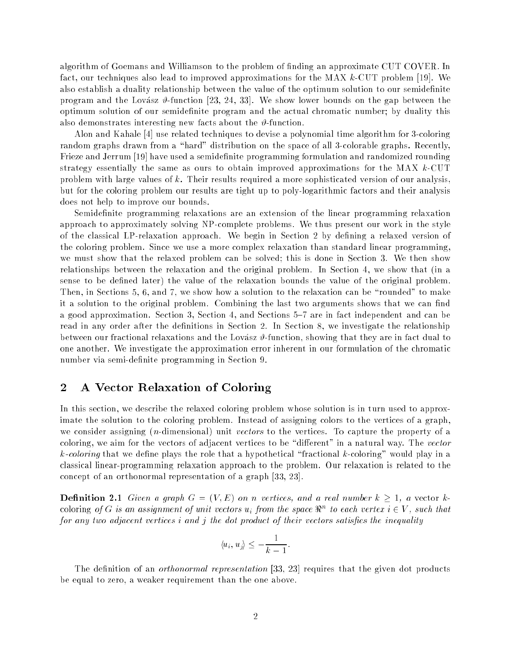algorithm of Goemans and Williamson to the problem of nding an approximate CUT COVER. In fact, our techniques also lead to improved approximations for the MAX  $k$ -CUT problem [19]. We also establish a duality relationship between the value of the optimum solution to our semidefinite program and the Lovász  $\vartheta$ -function [23, 24, 33]. We show lower bounds on the gap between the optimum solution of our semidefinite program and the actual chromatic number; by duality this also demonstrates interesting new facts about the  $\vartheta$ -function.

Alon and Kahale [4] use related techniques to devise a polynomial time algorithm for 3-coloring random graphs drawn from a "hard" distribution on the space of all 3-colorable graphs. Recently, Frieze and Jerrum [19] have used a semidefinite programming formulation and randomized rounding strategy essentially the same as ours to obtain improved approximations for the MAX  $k$ -CUT problem with large values of k. Their results required a more sophisticated version of our analysis, but for the coloring problem our results are tight up to poly-logarithmic factors and their analysis does not help to improve our bounds.

Semidefinite programming relaxations are an extension of the linear programming relaxation approach to approximately solving NP-complete problems. We thus present our work in the style of the classical LP-relaxation approach. We begin in Section 2 by defining a relaxed version of the coloring problem. Since we use a more complex relaxation than standard linear programming, we must show that the relaxed problem can be solved; this is done in Section 3. We then show relationships between the relaxation and the original problem. In Section 4, we show that (in a sense to be defined later) the value of the relaxation bounds the value of the original problem. Then, in Sections 5, 6, and 7, we show how a solution to the relaxation can be "rounded" to make it a solution to the original problem. Combining the last two arguments shows that we can find a good approximation. Section 3, Section 4, and Sections 5–7 are in fact independent and can be read in any order after the definitions in Section 2. In Section 8, we investigate the relationship between our fractional relaxations and the Lovász  $\vartheta$ -function, showing that they are in fact dual to one another. We investigate the approximation error inherent in our formulation of the chromatic number via semi-definite programming in Section 9.

#### 2 A Vector Relaxation of Coloring

In this section, we describe the relaxed coloring problem whose solution is in turn used to approximate the solution to the coloring problem. Instead of assigning colors to the vertices of a graph, we consider assigning (n-dimensional) unit vectors to the vertices. To capture the property of a coloring, we aim for the vectors of adjacent vertices to be "different" in a natural way. The vector  $k$ -coloring that we define plays the role that a hypothetical "fractional k-coloring" would play in a classical linear-programming relaxation approach to the problem. Our relaxation is related to the concept of an orthonormal representation of a graph [33, 23].

**Definition 2.1** Given a graph  $G = (V, E)$  on n vertices, and a real number  $k \geq 1$ , a vector kcoloring of G is an assignment of unit vectors  $u_i$  from the space  $\mathbb{R}^n$  to each vertex  $i \in V$ , such that for any two adjacent vertices  $i$  and  $j$  the dot product of their vectors satisfies the inequality

$$
\langle u_i, u_j \rangle \leq -\frac{1}{k-1}.
$$

The definition of an *orthonormal representation* [33, 23] requires that the given dot products be equal to zero, a weaker requirement than the one above.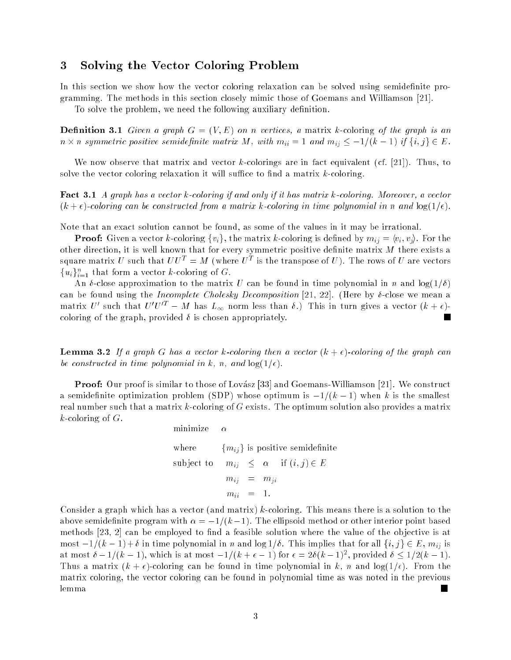# 3 Solving the Vector Coloring Problem

In this section we show how the vector coloring relaxation can be solved using semidefinite programming. The methods in this section closely mimic those of Goemans and Williamson [21].

To solve the problem, we need the following auxiliary definition.

**Definition 3.1** Given a graph  $G = (V, E)$  on n vertices, a matrix k-coloring of the graph is an  $n \times n$  symmetric positive semidefinite matrix M, with  $m_{ii} = 1$  and  $m_{ij} \leq -1/(k-1)$  if  $\{i,j\} \in E$ .

We now observe that matrix and vector k-colorings are in fact equivalent (cf. [21]). Thus, to solve the vector coloring relaxation it will suffice to find a matrix  $k$ -coloring.

Fact 3.1 A graph has a vector k-coloring if and only if it has matrix k-coloring. Moreover, a vector  $(k + \epsilon)$ -coloring can be constructed from a matrix k-coloring in time polynomial in n and  $\log(1/\epsilon)$ .

Note that an exact solution cannot be found, as some of the values in it may be irrational.

**Proof:** Given a vector k-coloring  $\{v_i\}$ , the matrix k-coloring is defined by  $m_{ij} = \langle v_i, v_j \rangle$ . For the other direction, it is well known that for every symmetric positive definite matrix  $M$  there exists a square matrix U such that  $UU^T = M$  (where  $U^T$  is the transpose of U). The rows of U are vectors  ${u_i}_{i=1}^n$  that form a vector k-coloring of G.

An  $\delta$ -close approximation to the matrix U can be found in time polynomial in n and log(1/ $\delta$ ) can be found using the *Incomplete Cholesky Decomposition* [21, 22]. (Here by  $\delta$ -close we mean a matrix U' such that  $U'U'' - M$  has  $L_{\infty}$  norm less than  $\delta$ .) This in turn gives a vector  $(k + \epsilon)$ coloring of the graph, provided  $\delta$  is chosen appropriately. **The Second Service** 

**Lemma 3.2** If a graph G has a vector k-coloring then a vector  $(k + \epsilon)$ -coloring of the graph can be constructed in time polynomial in k, n, and  $\log(1/\epsilon)$ .

**Proof:** Our proof is similar to those of Lovász [33] and Goemans-Williamson [21]. We construct a semidefinite optimization problem (SDP) whose optimum is  $-1/(k - 1)$  when k is the smallest real number such that a matrix k-coloring of G exists. The optimum solution also provides a matrix k-coloring of  $G$ .

minimize  $\alpha$ 

where  ${m_{ij}}$  is positive semidefinite subject to  $m_{ij} \leq \alpha$  if  $(i, j) \in E$  $m_{ij}$  =  $m_{ji}$  $m_{ii}$  = 1.

Consider a graph which has a vector (and matrix)  $k$ -coloring. This means there is a solution to the above semidefinite program with  $\alpha = -1/(k-1)$ . The ellipsoid method or other interior point based methods [23, 2] can be employed to find a feasible solution where the value of the objective is at most  $-1/(k - 1) + \delta$  in time polynomial in n and log  $1/\delta$ . This implies that for all  $\{i, j\} \in E$ ,  $m_{ij}$  is at most  $\delta - 1/(k - 1)$ , which is at most  $-1/(k + \epsilon - 1)$  for  $\epsilon = 2\delta(k - 1)^2$ , provided  $\delta \leq 1/2(k - 1)$ . Thus a matrix  $(k + \epsilon)$ -coloring can be found in time polynomial in k, n and  $log(1/\epsilon)$ . From the matrix coloring, the vector coloring can be found in polynomial time as was noted in the previous lemma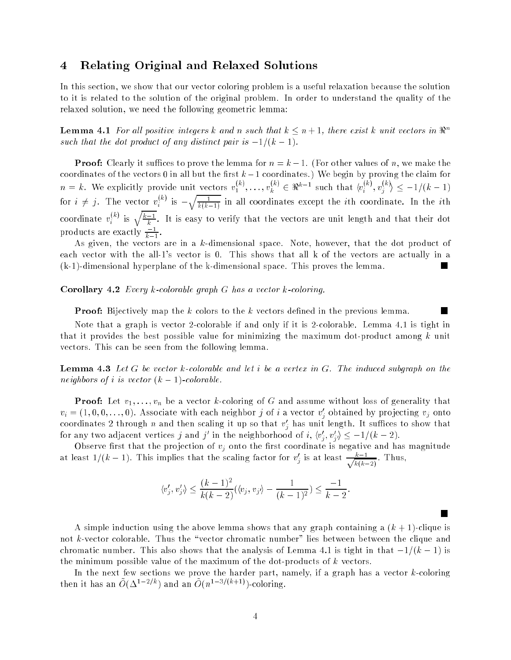# 4 Relating Original and Relaxed Solutions

In this section, we show that our vector coloring problem is a useful relaxation because the solution to it is related to the solution of the original problem. In order to understand the quality of the relaxed solution, we need the following geometric lemma:

**Lemma 4.1** For all positive integers k and n such that  $k \leq n+1$ , there exist k unit vectors in  $\mathbb{R}^n$ such that the dot product of any distinct pair is  $-1/(k - 1)$ .

**Proof:** Clearly it suffices to prove the lemma for  $n = k - 1$ . (For other values of n, we make the coordinates of the vectors 0 in all but the first  $k-1$  coordinates.) We begin by proving the claim for  $n = k$ . We explicitly provide unit vectors  $v_i^{(n)}$  $v_1^{\langle \cdot \rangle}, \ldots, v_k^{\langle \cdot \rangle} \in \Re^{\kappa-1}$  such that  $\langle v_i^{\langle \cdot \rangle} \rangle$  $\langle i^{(k)}, v_j^{(k)} \rangle \leq -1/(k-1)$ for  $i \neq j$ . The vector  $v_i^{(k)}$  $i$  is a set of  $i$  $\sqrt{\frac{1}{k(k-1)}}$  in all coordinates except the *i*th coordinate. In the *i*th coordinate  $v^{\gamma\gamma}$  $\binom{k}{i}$  is  $\sqrt{\frac{k-1}{k}}$  $k$  is the vectors are unit length and the vectors are unit length and that the vectors are unit length and that the vectors are unit length and the vectors are unit length and the vectors are unit length and the vectors products are exactly  $\frac{1}{1-\frac{1}{2}}$ .

As given, the vectors are in a k-dimensional space. Note, however, that the dot product of each vector with the all-1's vector is 0. This shows that all k of the vectors are actually in a (k-1)-dimensional hyperplane of the k-dimensional space. This proves the lemma.

#### Corollary 4.2 Every k-colorable graph G has a vector k-coloring.

**Proof:** Bijectively map the  $k$  colors to the  $k$  vectors defined in the previous lemma.

 $\overline{\phantom{a}}$ 

Note that a graph is vector 2-colorable if and only if it is 2-colorable. Lemma 4.1 is tight in that it provides the best possible value for minimizing the maximum dot-product among  $k$  unit vectors. This can be seen from the following lemma.

**Lemma 4.3** Let  $G$  be vector  $k$ -colorable and let  $i$  be a vertex in  $G$ . The induced subgraph on the neighbors of i is vector  $(k - 1)$ -colorable.

**Proof:** Let  $v_1, \ldots, v_n$  be a vector k-coloring of G and assume without loss of generality that  $v_i = (1,0,0,\ldots,0)$ . Associate with each neighbor j of i a vector  $v'_i$  obtained by projecting  $v_j$  onto coordinates 2 through  $n$  and then scaling it up so that  $v_j$  has unit length. It sumces to show that for any two adjacent vertices  $j$  and  $j'$  in the neighborhood of  $i, \langle v'_i, v'_{i'} \rangle \leq -1/(k-2).$ 

Observe first that the projection of  $v_j$  onto the first coordinate is negative and has magnitude at least  $1/(k-1)$ . This implies that the scaling factor for  $v_i'$  is at least  $\frac{k-1}{\sqrt{k(l)}}$  $k(k-2)$ 

$$
\langle v'_j, v'_j \rangle \le \frac{(k-1)^2}{k(k-2)} (\langle v_j, v_{j'} \rangle - \frac{1}{(k-1)^2}) \le \frac{-1}{k-2}.
$$

A simple induction using the above lemma shows that any graph containing a  $(k + 1)$ -clique is not k-vector colorable. Thus the "vector chromatic number" lies between between the clique and chromatic number. This also shows that the analysis of Lemma 4.1 is tight in that  $-1/(k - 1)$  is the minimum possible value of the maximum of the dot-products of k vectors.

In the next few sections we prove the harder part, namely, if a graph has a vector  $k$ -coloring then it has an  $O(\Delta^{1-2/k})$  and an  $O(n^{1-3/(k+1)})$ -coloring.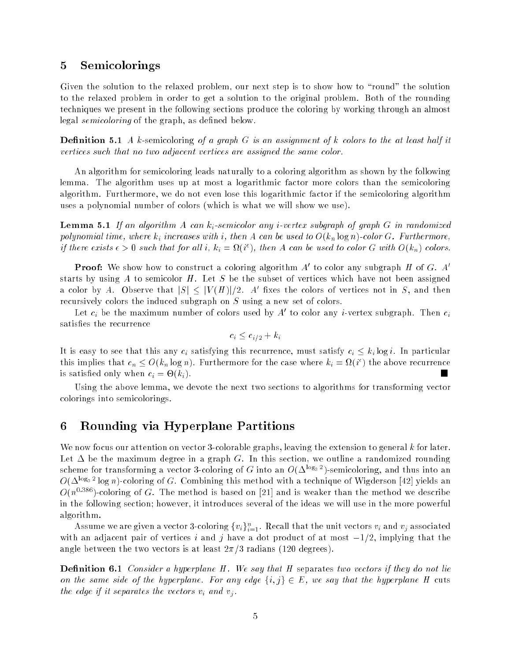# 5 Semicolorings

Given the solution to the relaxed problem, our next step is to show how to "round" the solution to the relaxed problem in order to get a solution to the original problem. Both of the rounding techniques we present in the following sections produce the coloring by working through an almost legal *semicoloring* of the graph, as defined below.

**Definition 5.1** A k-semicoloring of a graph  $G$  is an assignment of k colors to the at least half it vertices such that no two adjacent vertices are assigned the same color.

An algorithm for semicoloring leads naturally to a coloring algorithm as shown by the following lemma. The algorithm uses up at most a logarithmic factor more colors than the semicoloring algorithm. Furthermore, we do not even lose this logarithmic factor if the semicoloring algorithm uses a polynomial number of colors (which is what we will show we use).

**Lemma 5.1** If an algorithm A can  $k_i$ -semicolor any *i*-vertex subgraph of graph G in randomized polynomial time, where  $k_i$  increases with i, then A can be used to  $O(k_n \log n)$ -color G. Furthermore, if there exists  $\epsilon > 0$  such that for all i,  $k_i = \Omega(i^{\epsilon})$ , then A can be used to color G with  $O(k_n)$  colors.

**Proof:** We show how to construct a coloring algorithm  $A'$  to color any subgraph H of G. A' starts by using A to semicolor  $H$ . Let S be the subset of vertices which have not been assigned a color by A. Observe that  $|S| \leq |V(H)|/2$ . A' fixes the colors of vertices not in S, and then recursively colors the induced subgraph on S using a new set of colors.

Let  $c_i$  be the maximum number of colors used by  $A'$  to color any *i*-vertex subgraph. Then  $c_i$ satisfies the recurrence

$$
c_i \leq c_{i/2} + k_i
$$

It is easy to see that this any  $c_i$  satisfying this recurrence, must satisfy  $c_i \leq k_i \log i$ . In particular this implies that  $c_n \leq O(k_n \log n)$ . Furthermore for the case where  $k_i = \Omega(i^{\epsilon})$  the above recurrence is satisfied only when  $c_i = \Theta(k_i)$ .

Using the above lemma, we devote the next two sections to algorithms for transforming vector colorings into semicolorings.

# 6 Rounding via Hyperplane Partitions

We now focus our attention on vector 3-colorable graphs, leaving the extension to general k for later. Let  $\Delta$  be the maximum degree in a graph G. In this section, we outline a randomized rounding scheme for transforming a vector 3-coloring of G into an  $O(\Delta^{\log_3 2})$ -semicoloring, and thus into an  $O(\Delta^{\log_3 2}\log n)$ -coloring of G. Combining this method with a technique of Wigderson [42] vields an  $O(n^{0.386})$ -coloring of G. The method is based on [21] and is weaker than the method we describe in the following section; however, it introduces several of the ideas we will use in the more powerful algorithm.

Assume we are given a vector 3-coloring  $\{v_i\}_{i=1}^n$  . Recall that the unit vectors  $v_i$  and  $v_j$  associated with an adjacent pair of vertices i and j have a dot product of at most  $-1/2$ , implying that the angle between the two vectors is at least  $2\pi/3$  radians (120 degrees).

**Definition 6.1** Consider a hyperplane  $H$ . We say that  $H$  separates two vectors if they do not lie on the same side of the hyperplane. For any edge  $\{i, j\} \in E$ , we say that the hyperplane H cuts the edge if it separates the vectors  $v_i$  and  $v_j$ .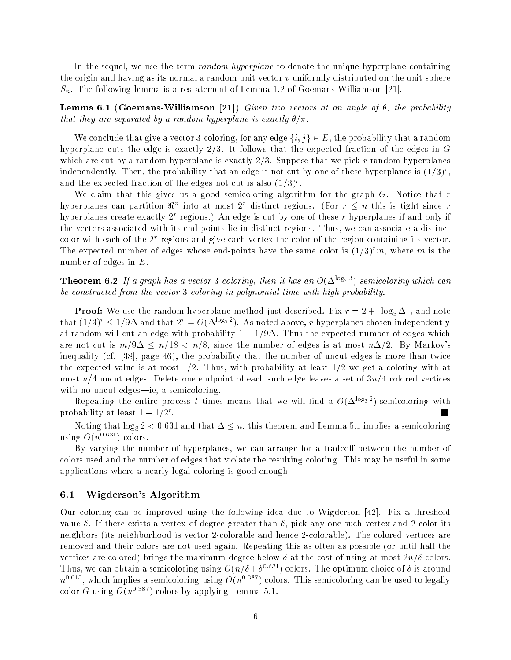In the sequel, we use the term *random hyperplane* to denote the unique hyperplane containing the origin and having as its normal a random unit vector  $v$  uniformly distributed on the unit sphere  $S_n$ . The following lemma is a restatement of Lemma 1.2 of Goemans-Williamson [21].

**Lemma 6.1 (Goemans-Williamson [21])** Given two vectors at an angle of  $\theta$ , the probability that they are separated by a random hyperplane is exactly  $\theta/\pi$ .

We conclude that give a vector 3-coloring, for any edge  $\{i, j\} \in E$ , the probability that a random hyperplane cuts the edge is exactly  $2/3$ . It follows that the expected fraction of the edges in G which are cut by a random hyperplane is exactly  $2/3$ . Suppose that we pick r random hyperplanes independently. Then, the probability that an edge is not cut by one of these hyperplanes is  $(1/3)^r,$ and the expected fraction of the edges not cut is also  $(1/3)^r$ .

We claim that this gives us a good semicoloring algorithm for the graph  $G$ . Notice that r hyperplanes can partition  $\mathcal{H}^\circ$  into at most 2r distinct regions. (For  $r$   $\leq$   $n$  this is tight since  $r$ hyperplanes create exactly 2° regions.) An edge is cut by one of these  $r$  hyperplanes if and only if the vectors associated with its end-points lie in distinct regions. Thus, we can associate a distinct color with each of the 2<sup>r</sup> regions and give each vertex the color of the region containing its vector. The expected number of edges whose end-points have the same color is  $(1/3)^{r}m$ , where m is the number of edges in E.

**Theorem 6.2** If a graph has a vector 3-coloring, then it has an  $O(\Delta^{\log_2 2})$ -semicoloring which can be constructed from the vector 3-coloring in polynomial time with high probability.

**Proof:** We use the random hyperplane method just described. Fix  $r = 2 + |\log_3\Delta|,$  and note that  $(1/3)^r \leq 1/9\Delta$  and that  $2^r = O(\Delta^{\log_3 2})$ . As noted above, r hyperplanes chosen independently at random will cut an edge with probability  $1-1/9\Delta$ . Thus the expected number of edges which are not cut is  $m/9\Delta \leq n/18 < n/8$ , since the number of edges is at most  $n\Delta/2$ . By Markov's inequality (cf. [38], page 46), the probability that the number of uncut edges is more than twice the expected value is at most  $1/2$ . Thus, with probability at least  $1/2$  we get a coloring with at most  $n/4$  uncut edges. Delete one endpoint of each such edge leaves a set of  $3n/4$  colored vertices with no uncut edges-ie, a semicoloring.

Repeating the entire process t times means that we will find a  $O(\Delta^{\log_3 2})$ -semicoloring with probability at least  $1-1/2^t$ .

Noting that log<sub>3</sub> 2  $<$  0.631 and that  $\Delta \le n,$  this theorem and Lemma 5.1 implies a semicoloring using  $O(n^{0.631})$  colors.

By varying the number of hyperplanes, we can arrange for a tradeoff between the number of colors used and the number of edges that violate the resulting coloring. This may be useful in some applications where a nearly legal coloring is good enough.

#### 6.1 Wigderson's Algorithm

Our coloring can be improved using the following idea due to Wigderson [42]. Fix a threshold value  $\delta$ . If there exists a vertex of degree greater than  $\delta$ , pick any one such vertex and 2-color its neighbors (its neighborhood is vector 2-colorable and hence 2-colorable). The colored vertices are removed and their colors are not used again. Repeating this as often as possible (or until half the vertices are colored) brings the maximum degree below  $\delta$  at the cost of using at most  $2n/\delta$  colors. Thus, we can obtain a semicoloring using  $O(n/\delta + \delta^{0.631})$  colors. The optimum choice of  $\delta$  is around  $n^{0.613}$ , which implies a semicoloring using  $O(n^{0.387})$  colors. This semicoloring can be used to legally color G using  $O(n^{0.387})$  colors by applying Lemma 5.1.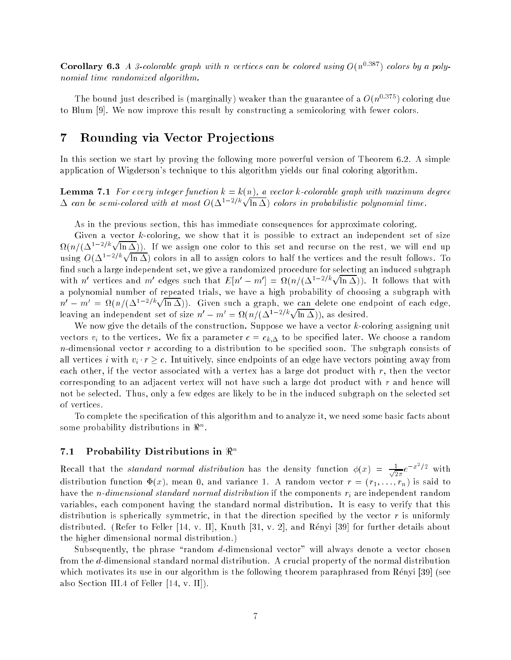**Corollary 6.3** A 3-colorable graph with n vertices can be colored using  $O(n^{0.387})$  colors by a polynomial time randomized algorithm.

The bound just described is (marginally) weaker than the guarantee of a  $O(n^{0.375})$  coloring due to Blum [9]. We now improve this result by constructing a semicoloring with fewer colors.

# 7 Rounding via Vector Pro jections

In this section we start by proving the following more powerful version of Theorem 6.2. A simple application of Wigderson's technique to this algorithm yields our final coloring algorithm.

**Lemma 7.1** For every integer function  $k = k(n)$ , a vector k-colorable graph with maximum degree  $\Delta$  can be semi-colored with at most  $O(\Delta^{1-2/k}\sqrt{\ln \Delta})$  colors in probabilistic polynomial time.

As in the previous section, this has immediate consequences for approximate coloring.

Given a vector  $k$ -coloring, we show that it is possible to extract an independent set of size  $\Omega(n/(\Delta^{1-2/k}\sqrt{\ln \Delta}))$ . If we assign one color to this set and recurse on the rest, we will end up using  $O(\Delta^{1-2/k}\sqrt{\ln \Delta})$  colors in all to assign colors to half the vertices and the result follows. To find such a large independent set, we give a randomized procedure for selecting an induced subgraph with n' vertices and m' edges such that  $E[n'-m'] = \Omega(n/(\Delta^{1-2/k}\sqrt{\ln \Delta}))$ . It follows that with a polynomial number of repeated trials, we have a high probability of choosing a subgraph with  $n'-m' = \Omega(n/(\Delta^{1-2/k}\sqrt{\ln \Delta}))$ . Given such a graph, we can delete one endpoint of each edge, leaving an independent set of size  $n'-m'=\Omega(n/(\Delta^{1-2/k}\sqrt{\ln \Delta}))$ , as desired.

We now give the details of the construction. Suppose we have a vector  $k$ -coloring assigning unit vectors  $v_i$  to the vertices. We fix a parameter  $c = c_{k,\Delta}$  to be specified later. We choose a random  $n$ -dimensional vector  $r$  according to a distribution to be specified soon. The subgraph consists of all vertices i with  $v_i \cdot r \geq c$ . Intuitively, since endpoints of an edge have vectors pointing away from each other, if the vector associated with a vertex has a large dot product with r, then the vector corresponding to an adjacent vertex will not have such a large dot product with  $r$  and hence will not be selected. Thus, only a few edges are likely to be in the induced subgraph on the selected set of vertices.

To complete the specication of this algorithm and to analyze it, we need some basic facts about some probability distributions in  $\pi^-.$ 

#### 7.1 Probability Distributions in  $\mathbb{R}^n$

Recall that the *standard normal distribution* has the density function  $\phi(x) = \frac{1}{\sqrt{2}}$  $rac{1}{2\pi}e^{-x^2/2}$  with distribution function  $\Phi(x)$ , mean 0, and variance 1. A random vector  $r = (r_1, \ldots, r_n)$  is said to have the *n*-dimensional standard normal distribution if the components  $r_i$  are independent random variables, each component having the standard normal distribution. It is easy to verify that this distribution is spherically symmetric, in that the direction specified by the vector  $r$  is uniformly distributed. (Refer to Feller [14, v. II], Knuth [31, v. 2], and Renyi [39] for further details about the higher dimensional normal distribution.)

Subsequently, the phrase "random  $d$ -dimensional vector" will always denote a vector chosen from the d-dimensional standard normal distribution. A crucial property of the normal distribution which motivates its use in our algorithm is the following theorem paraphrased from Rényi [39] (see also Section III.4 of Feller [14, v. II]).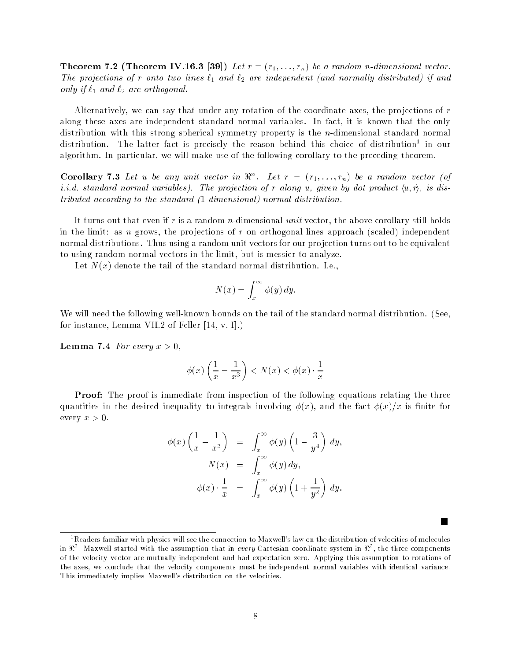**Theorem 7.2 (Theorem IV.16.3 [39])** Let  $r = (r_1, \ldots, r_n)$  be a random n-dimensional vector. The projections of r onto two lines  $\ell_1$  and  $\ell_2$  are independent (and normally distributed) if and only if  $\ell_1$  and  $\ell_2$  are orthogonal.

Alternatively, we can say that under any rotation of the coordinate axes, the projections of  $r$ along these axes are independent standard normal variables. In fact, it is known that the only distribution with this strong spherical symmetry property is the n-dimensional standard normal distribution. The latter fact is precisely the reason behind this choice of distribution1 in our algorithm. In particular, we will make use of the following corollary to the preceding theorem.

**Corollary 7.3** Let u be any unit vector in  $\mathfrak{n}^{\alpha}$ . Let  $r = (r_1, \ldots, r_n)$  be a random vector (of i.i.d. standard normal variables). The projection of r along u, given by dot product  $\langle u, r \rangle$ , is distributed according to the standard (1-dimensional) normal distribution.

It turns out that even if  $r$  is a random  $n$ -dimensional unit vector, the above corollary still holds in the limit: as n grows, the projections of r on orthogonal lines approach (scaled) independent normal distributions. Thus using a random unit vectors for our pro jection turns out to be equivalent to using random normal vectors in the limit, but is messier to analyze.

Let  $N(x)$  denote the tail of the standard normal distribution. I.e.,

$$
N(x) = \int_x^{\infty} \phi(y) \, dy.
$$

We will need the following well-known bounds on the tail of the standard normal distribution. (See, for instance, Lemma VII.2 of Feller [14, v. I].)

Lemma 7.4 For every  $x > 0$ ,

$$
\phi(x)\left(\frac{1}{x}-\frac{1}{x^3}\right) < N(x) < \phi(x) \cdot \frac{1}{x}
$$

**Proof:** The proof is immediate from inspection of the following equations relating the three quantities in the desired inequality to integrals involving  $\phi(x)$ , and the fact  $\phi(x)/x$  is finite for every  $x > 0$ .

$$
\phi(x) \left(\frac{1}{x} - \frac{1}{x^3}\right) = \int_x^{\infty} \phi(y) \left(1 - \frac{3}{y^4}\right) dy,
$$
  

$$
N(x) = \int_x^{\infty} \phi(y) dy,
$$
  

$$
\phi(x) \cdot \frac{1}{x} = \int_x^{\infty} \phi(y) \left(1 + \frac{1}{y^2}\right) dy.
$$

<sup>1</sup> Readers familiar with physics will see the connection to Maxwell's law on the distribution of velocities of molecules in X". Maxwell started with the assumption that in *every* Cartesian coordinate system in X", the three components of the velocity vector are mutually independent and had expectation zero. Applying this assumption to rotations of the axes, we conclude that the velocity components must be independent normal variables with identical variance. This immediately implies Maxwell's distribution on the velocities.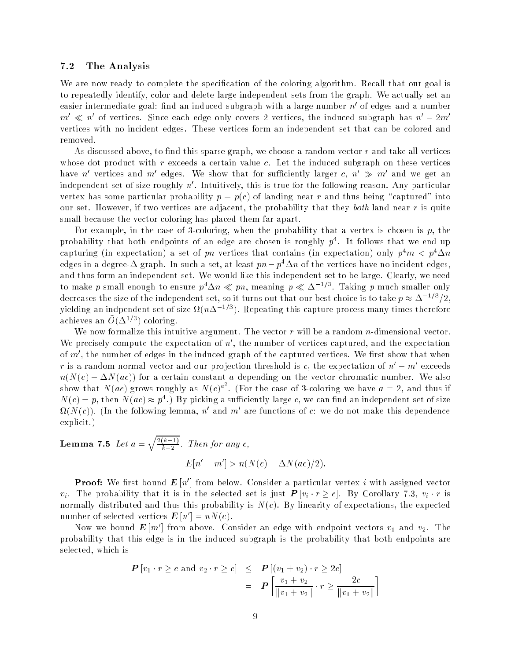#### 7.2 The Analysis

We are now ready to complete the specification of the coloring algorithm. Recall that our goal is to repeatedly identify, color and delete large independent sets from the graph. We actually set an easier intermediate goal: nnd an induced subgraph with a large number  $n^\prime$  of edges and a number  $m~\ll~n~$  of vertices. Since each edge only covers 2 vertices, the induced subgraph has  $n~-~2m$ vertices with no incident edges. These vertices form an independent set that can be colored and removed.

As discussed above, to find this sparse graph, we choose a random vector  $r$  and take all vertices whose dot product with  $r$  exceeds a certain value  $c$ . Let the induced subgraph on these vertices have no vertices and  $m^{\circ}$  edges. We show that for sumclently larger c,  $n^{\circ} \gg m^{\circ}$  and we get an independent set of size roughly  $n^{\cdot}$  . Intuitively, this is true for the following reason. Any particular vertex has some particular probability  $p = p(c)$  of landing near r and thus being "captured" into our set. However, if two vertices are adjacent, the probability that they both land near  $r$  is quite small because the vector coloring has placed them far apart.

For example, in the case of 3-coloring, when the probability that a vertex is chosen is p, the probability that both endpoints of an edge are chosen is roughly  $p\, \hat{\,}$  . It follows that we end up capturing (in expectation) a set of pn vertices that contains (in expectation) only  $p^4m < p^4\Delta n$ edges in a degree- $\Delta$  graph. In such a set, at least  $pn - p^4 \Delta n$  of the vertices have no incident edges, and thus form an independent set. We would like this independent set to be large. Clearly, we need to make  $p$  small enough to ensure  $p^*\Delta n \ll pn$ , meaning  $p \ll \Delta^{-\epsilon/2}$ . Taking  $p$  much smaller only decreases the size of the independent set, so it turns out that our best choice is to take  $p \approx \Delta^{-1/3}/2,$ yielding an indpendent set of size  $\mathcal{U}(n\Delta^{-1})$  ). Repeating this capture process many times therefore achieves an  $O(\Delta^{1/3})$  coloring.

We now formalize this intuitive argument. The vector  $r$  will be a random  $n$ -dimensional vector. We precisely compute the expectation of  $n$  , the number of vertices captured, and the expectation of  $m$  , the number of edges in the induced graph of the captured vertices. We first show that when  $r$  is a random normal vector and our projection threshold is  $c,$  the expectation of  $n^\prime-m^\prime$  exceeds  $n(N(c) - \Delta N(ac))$  for a certain constant a depending on the vector chromatic number. We also show that  $N(ac)$  grows roughly as  $N(c)^{a^2}$ . (For the case of 3-coloring we have  $a = 2$ , and thus if  $N(c) = p$ , then  $N(ac) \approx p^4$ .) By picking a sufficiently large c, we can find an independent set of size  $\Omega(N(c))$ . (In the following lemma, n' and m' are functions of c: we do not make this dependence explicit.)

**Lemma 7.5** Let 
$$
a = \sqrt{\frac{2(k-1)}{k-2}}
$$
. Then for any c,  

$$
E[n' - m'] > n(N(c) - \Delta N(ac)/2).
$$

**Proof:** We first bound  $E[n']$  from below. Consider a particular vertex i with assigned vector  $v_i$ . The probability that it is in the selected set is just  $P[v_i \cdot r \ge c]$ . By Corollary 7.3,  $v_i \cdot r$  is normally distributed and thus this probability is  $N(c)$ . By linearity of expectations, the expected number of selected vertices  $E[n'] = nN(c)$ .

Now we bound  ${\bm E}\left[m\right]$  from above. Consider an edge with endpoint vectors  $v_1$  and  $v_2$ . The probability that this edge is in the induced subgraph is the probability that both endpoints are selected, which is

$$
\begin{array}{rcl}\n\mathbf{P}[v_1 \cdot r \geq c \text{ and } v_2 \cdot r \geq c] & \leq & \mathbf{P}[(v_1 + v_2) \cdot r \geq 2c] \\
& = & \mathbf{P}\left[\frac{v_1 + v_2}{\|v_1 + v_2\|} \cdot r \geq \frac{2c}{\|v_1 + v_2\|}\right]\n\end{array}
$$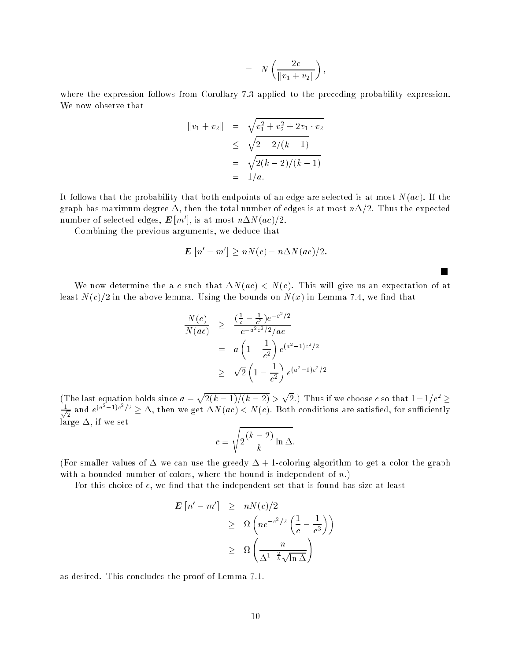$$
= N\left(\frac{2c}{\|v_1 + v_2\|}\right),
$$

where the expression follows from Corollary 7.3 applied to the preceding probability expression. We now observe that

$$
||v_1 + v_2|| = \sqrt{v_1^2 + v_2^2 + 2v_1 \cdot v_2}
$$
  
\n
$$
\leq \sqrt{2 - 2/(k - 1)}
$$
  
\n
$$
= \sqrt{2(k - 2)/(k - 1)}
$$
  
\n
$$
= 1/a.
$$

It follows that the probability that both endpoints of an edge are selected is at most  $N(ac)$ . If the graph has maximum degree  $\Delta$ , then the total number of edges is at most  $n\Delta/2$ . Thus the expected number of selected edges,  $\boldsymbol{E}\,[m'],$  is at most  $n\Delta N(ac)/2.$ 

Combining the previous arguments, we deduce that

$$
\mathbf{E}\left[n'-m'\right] \geq nN(c) - n\Delta N(ac)/2.
$$

 $\overline{\phantom{a}}$ 

We now determine the a c such that  $\Delta N(ac) < N(c)$ . This will give us an expectation of at least  $N(c)/2$  in the above lemma. Using the bounds on  $N(x)$  in Lemma 7.4, we find that

$$
\frac{N(c)}{N(ac)} \ge \frac{\left(\frac{1}{c} - \frac{1}{c^3}\right)e^{-c^2/2}}{e^{-a^2c^2/2}/ac}
$$
\n
$$
= a\left(1 - \frac{1}{c^2}\right)e^{(a^2-1)c^2/2}
$$
\n
$$
\ge \sqrt{2}\left(1 - \frac{1}{c^2}\right)e^{(a^2-1)c^2/2}
$$

(The last equation holds since  $a = \sqrt{2(k-1)/(k-2)} > \sqrt{2}$ .) Thus if we choose c so that  $1-1/c^2 \ge$ <sup>p</sup> 1  $\frac{1}{2}$  and  $e^{(a^2-1)c^2/2}\geq \Delta,$  then we get  $\Delta N(ac)< N(c).$  Both conditions are satisfied, for sufficiently large  $\Delta$ , if we set

$$
c = \sqrt{2\frac{(k-2)}{k}\ln \Delta}.
$$

(For smaller values of  $\Delta$  we can use the greedy  $\Delta + 1$ -coloring algorithm to get a color the graph with a bounded number of colors, where the bound is independent of  $n$ .)

For this choice of  $c$ , we find that the independent set that is found has size at least

$$
\begin{array}{rcl} E\left[n'-m'\right] & \geq & nN(c)/2\\ & \geq & \Omega\left(n e^{-c^2/2}\left(\frac{1}{c} - \frac{1}{c^3}\right)\right) \\ & \geq & \Omega\left(\frac{n}{\Delta^{1-\frac{2}{k}}\sqrt{\ln\Delta}}\right) \end{array}
$$

as desired. This concludes the proof of Lemma 7.1.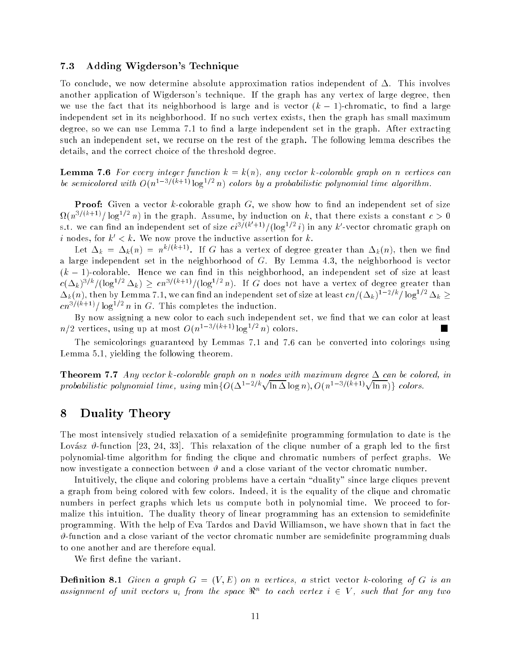#### 7.3 Adding Wigderson's Technique

To conclude, we now determine absolute approximation ratios independent of  $\Delta$ . This involves another application of Wigderson's technique. If the graph has any vertex of large degree, then we use the fact that its neighborhood is large and is vector  $(k-1)$ -chromatic, to find a large independent set in its neighborhood. If no such vertex exists, then the graph has small maximum degree, so we can use Lemma 7.1 to find a large independent set in the graph. After extracting such an independent set, we recurse on the rest of the graph. The following lemma describes the details, and the correct choice of the threshold degree.

**Lemma 7.6** For every integer function  $k = k(n)$ , any vector k-colorable graph on n vertices can be semicolored with  $O(n^{1-3/(k+1)}\log^{1/2} n)$  colors by a probabilistic polynomial time algorithm.

**Proof:** Given a vector k-colorable graph  $G$ , we show how to find an independent set of size  $\Omega(n^{3/(k+1)}/\log^{1/2} n)$  in the graph. Assume, by induction on k, that there exists a constant  $c > 0$ s.t. we can find an independent set of size  $ci^{3/(k'+1)}/(\log^{1/2}i)$  in any  $k'$ -vector chromatic graph on i nodes, for  $k' < k$ . We now prove the inductive assertion for k.

Let  $\Delta_k = \Delta_k(n) = n^{k/(k+1)}$ . If G has a vertex of degree greater than  $\Delta_k(n)$ , then we find a large independent set in the neighborhood of  $G$ . By Lemma 4.3, the neighborhood is vector  $(k-1)$ -colorable. Hence we can find in this neighborhood, an independent set of size at least  $c(\Delta_k)^{3/k}/(\log^{1/2}\Delta_k)\geq cn^{3/(k+1)}/(\log^{1/2}n).$  If G does not have a vertex of degree greater than  $\Delta_k(n)$ , then by Lemma 7.1, we can find an independent set of size at least  $cn/(\Delta_k)^{1-2/k}/\log^{1/2}\Delta_k\geq 1$  $cn^{3/(k+1)}/\log^{1/2} n$  in G. This completes the induction.

By now assigning a new color to each such independent set, we find that we can color at least  $n/2$  vertices, using up at most  $O(n^{1-3/(k+1)} \log^{1/2} n)$  colors.

The semicolorings guaranteed by Lemmas 7.1 and 7.6 can be converted into colorings using Lemma 5.1, yielding the following theorem.

**Theorem 7.7** Any vector k-colorable graph on n nodes with maximum degree  $\Delta$  can be colored, in probabilistic polynomial time, using  $\min\{O(\Delta^{1-2/k}\sqrt{\ln \Delta}\log n), O(n^{1-3/(k+1)}\sqrt{\ln n})\}\;$ colors.

#### 8 Duality Theory

The most intensively studied relaxation of a semidefinite programming formulation to date is the Lovász  $\vartheta$ -function [23, 24, 33]. This relaxation of the clique number of a graph led to the first polynomial-time algorithm for finding the clique and chromatic numbers of perfect graphs. We now investigate a connection between  $\vartheta$  and a close variant of the vector chromatic number.

Intuitively, the clique and coloring problems have a certain "duality" since large cliques prevent a graph from being colored with few colors. Indeed, it is the equality of the clique and chromatic numbers in perfect graphs which lets us compute both in polynomial time. We proceed to formalize this intuition. The duality theory of linear programming has an extension to semidefinite programming. With the help of Eva Tardos and David Williamson, we have shown that in fact the  $\vartheta$ -function and a close variant of the vector chromatic number are semidefinite programming duals to one another and are therefore equal.

We first define the variant.

**Definition 8.1** Given a graph  $G = (V, E)$  on n vertices, a strict vector k-coloring of G is an assignment of unit vectors  $u_i$  from the space  $\mathbb{R}^n$  to each vertex  $i \in V$ , such that for any two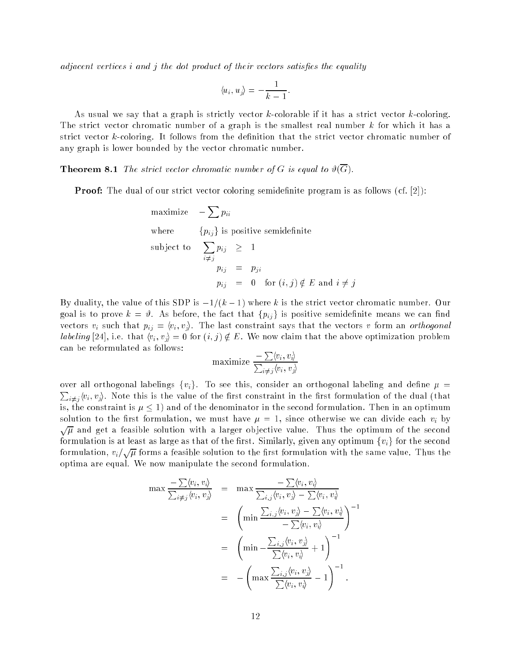adjacent vertices  $i$  and  $j$  the dot product of their vectors satisfies the equality

$$
\langle u_i, u_j \rangle = -\frac{1}{k-1}.
$$

As usual we say that a graph is strictly vector  $k$ -colorable if it has a strict vector  $k$ -coloring. The strict vector chromatic number of a graph is the smallest real number k for which it has a strict vector  $k$ -coloring. It follows from the definition that the strict vector chromatic number of any graph is lower bounded by the vector chromatic number.

**Theorem 8.1** The strict vector chromatic number of G is equal to  $\vartheta(\overline{G})$ .

**Proof:** The dual of our strict vector coloring semidefinite program is as follows (cf.  $[2]$ ):

maximize 
$$
-\sum p_{ii}
$$
  
\nwhere  $\{p_{ij}\}$  is positive semidefinite  
\nsubject to  $\sum_{i \neq j} p_{ij} \geq 1$   
\n $p_{ij} = p_{ji}$   
\n $p_{ij} = 0$  for  $(i, j) \notin E$  and  $i \neq j$ 

By duality, the value of this SDP is  $-1/(k - 1)$  where k is the strict vector chromatic number. Our goal is to prove  $k = \vartheta$ . As before, the fact that  $\{p_{ij}\}$  is positive semidefinite means we can find vectors  $v_i$  such that  $p_{ij} = \langle v_i, v_j \rangle$ . The last constraint says that the vectors v form an orthogonal *labeling* [24], i.e. that  $\langle v_i, v_j \rangle = 0$  for  $(i, j) \notin E$ . We now claim that the above optimization problem can be reformulated as follows:

$$
\text{maximize } \frac{-\sum \langle v_i, v_i \rangle}{\sum_{i \neq j} \langle v_i, v_j \rangle}
$$

over all orthogonal labelings  $\{v_i\}$ . To see this, consider an orthogonal labeling and define  $\mu =$  $\sum_{i\neq j}\langle v_i,v_j\rangle$ . Note this is the value of the first constraint in the first formulation of the dual (that is, the constraint is  $\mu \leq 1$ ) and of the denominator in the second formulation. Then in an optimum solution to the first formulation, we must have  $\mu = 1$ , since otherwise we can divide each  $v_i$  by  $\sqrt{\mu}$  and get a feasible solution with a larger objective value. Thus the optimum of the second formulation is at least as large as that of the first. Similarly, given any optimum  $\{v_i\}$  for the second formulation,  $v_i/\sqrt{\mu}$  forms a feasible solution to the first formulation with the same value. Thus the optima are equal. We now manipulate the second formulation.

$$
\max \frac{-\sum \langle v_i, v_i \rangle}{\sum_{i \neq j} \langle v_i, v_j \rangle} = \max \frac{-\sum \langle v_i, v_i \rangle}{\sum_{i,j} \langle v_i, v_j \rangle - \sum \langle v_i, v_i \rangle}
$$

$$
= \left( \min \frac{\sum_{i,j} \langle v_i, v_j \rangle - \sum \langle v_i, v_i \rangle}{-\sum \langle v_i, v_i \rangle} \right)^{-1}
$$

$$
= \left( \min \frac{\sum_{i,j} \langle v_i, v_j \rangle}{\sum \langle v_i, v_i \rangle} + 1 \right)^{-1}
$$

$$
= -\left( \max \frac{\sum_{i,j} \langle v_i, v_j \rangle}{\sum \langle v_i, v_i \rangle} - 1 \right)^{-1}.
$$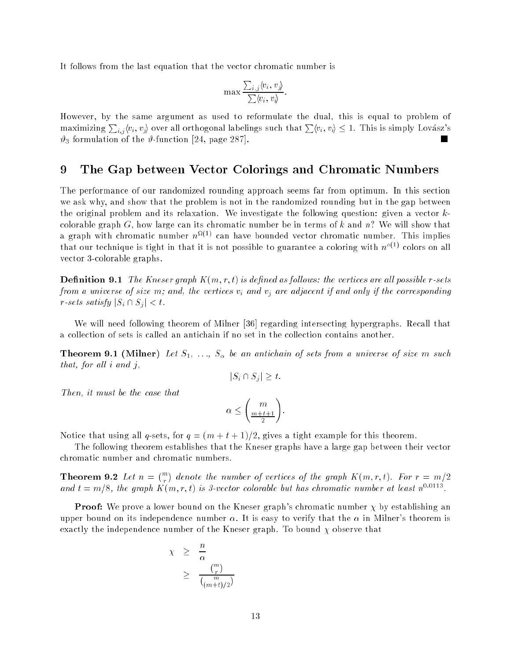It follows from the last equation that the vector chromatic number is

$$
\max \frac{\sum_{i,j} \langle v_i, v_j \rangle}{\sum \langle v_i, v_i \rangle}.
$$

However, by the same argument as used to reformulate the dual, this is equal to problem of maximizing  $\sum_{i,j} \langle v_i, v_j \rangle$  over all orthogonal labelings such that  $\sum \langle v_i, v_j \rangle \leq 1$ . This is simply Lovász's  $\vartheta_3$  formulation of the  $\vartheta$ -function [24, page 287]. H.

#### 9 The Gap between Vector Colorings and Chromatic Numbers

The performance of our randomized rounding approach seems far from optimum. In this section we ask why, and show that the problem is not in the randomized rounding but in the gap between the original problem and its relaxation. We investigate the following question: given a vector  $k$ colorable graph G, how large can its chromatic number be in terms of k and  $n$ ? We will show that a graph with chromatic number  $n^{-(+)}$  can have bounded vector chromatic number. This implies that our technique is tight in that it is not possible to guarantee a coloring with  $n^{\circ(1)}$  colors on all vector 3-colorable graphs.

**Definition 9.1** The Kneser graph  $K(m, r, t)$  is defined as follows: the vertices are all possible r-sets from a universe of size m; and, the vertices  $v_i$  and  $v_j$  are adjacent if and only if the corresponding r-sets satisfy  $|S_i \cap S_j| < t$ .

We will need following theorem of Milner [36] regarding intersecting hypergraphs. Recall that a collection of sets is called an antichain if no set in the collection contains another.

**Theorem 9.1 (Milner)** Let  $S_1, \ldots, S_{\alpha}$  be an antichain of sets from a universe of size m such that, for all  $i$  and  $j$ ,

$$
|S_i \cap S_j| \geq t.
$$

Then, it must be the case that

$$
\alpha \leq \binom{m}{\frac{m+t+1}{2}}.
$$

Notice that using all q-sets, for  $q = (m + t + 1)/2$ , gives a tight example for this theorem.

The following theorem establishes that the Kneser graphs have a large gap between their vector chromatic number and chromatic numbers.

**Theorem 9.2** Let  $n = \binom{m}{r}$  denote the number of vertices of the graph  $K(m,r,t)$ . For  $r = m/2$ and  $t = m/8$ , the graph  $K(m, r, t)$  is 3-vector colorable but has chromatic number at least  $n^{0.0113}$ .

**Proof:** We prove a lower bound on the Kneser graph's chromatic number  $\chi$  by establishing an upper bound on its independence number  $\alpha$ . It is easy to verify that the  $\alpha$  in Milner's theorem is exactly the independence number of the Kneser graph. To bound  $\chi$  observe that

$$
\begin{array}{rcl}\n\chi & \geq & \frac{n}{\alpha} \\
& \geq & \frac{\binom{m}{r}}{\binom{m}{(m+t)/2}}\n\end{array}
$$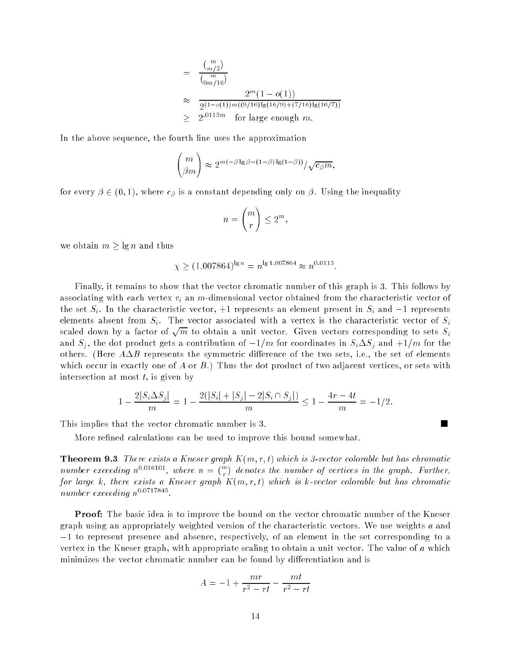$$
= \frac{\binom{m}{m/2}}{\binom{m}{9m/16}}
$$
  
\n
$$
\approx \frac{2^m (1 - o(1))}{2^{(1 - o(1))m((9/16)\lg(16/9) + (7/16)\lg(16/7))}}
$$
  
\n
$$
\geq 2^{.0113m} \text{ for large enough } m.
$$

In the above sequence, the fourth line uses the approximation

$$
\binom{m}{\beta m} \approx 2^{m(-\beta \lg \beta - (1-\beta)\lg(1-\beta))}/\sqrt{c_{\beta}m},
$$

for every  $\beta \in (0,1)$ , where  $c_{\beta}$  is a constant depending only on  $\beta$ . Using the inequality

$$
n = \binom{m}{r} \le 2^m,
$$

we obtain  $m \geq \lg n$  and thus

$$
\chi \ge (1.007864)^{\lg n} = n^{\lg 1.007864} \approx n^{0.0113}.
$$

Finally, it remains to show that the vector chromatic number of this graph is 3. This follows by associating with each vertex  $v_i$  an m-dimensional vector obtained from the characteristic vector of the set  $S_i$ . In the characteristic vector,  $+1$  represents an element present in  $S_i$  and  $-1$  represents elements absent from  $S_i$ . The vector associated with a vertex is the characteristic vector of  $S_i$ scaled down by a factor of  $\sqrt{m}$  to obtain a unit vector. Given vectors corresponding to sets  $S_i$ and  $S_j$ , the dot product gets a contribution of  $-1/m$  for coordinates in  $S_i\Delta S_j$  and  $+1/m$  for the others. (Here  $A\Delta B$  represents the symmetric difference of the two sets, i.e., the set of elements which occur in exactly one of A or B.) Thus the dot product of two adjacent vertices, or sets with intersection at most  $t$ , is given by

$$
1 - \frac{2|S_i \Delta S_j|}{m} = 1 - \frac{2(|S_i| + |S_j| - 2|S_i \cap S_j|)}{m} \le 1 - \frac{4r - 4t}{m} = -1/2.
$$

**I** 

This implies that the vector chromatic number is 3.

More refined calculations can be used to improve this bound somewhat.

**Theorem 9.3** There exists a Kneser graph  $K(m, r, t)$  which is 3-vector colorable but has chromatic number exceeding  $n^{0.016101}$ , where  $n = \binom{m}{n}$  denotes the number of vertices in the graph. Further, for large k, there exists a Kneser graph  $K(m, r, t)$  which is k-vector colorable but has chromatic  $number\e$ ceeding  $n^{334}$ 

**Proof:** The basic idea is to improve the bound on the vector chromatic number of the Kneser graph using an appropriately weighted version of the characteristic vectors. We use weights a and 1 to represent presence and absence, respectively, of an element in the set corresponding to a vertex in the Kneser graph, with appropriate scaling to obtain a unit vector. The value of a which minimizes the vector chromatic number can be found by differentiation and is

$$
A = -1 + \frac{mr}{r^2 - rt} - \frac{mt}{r^2 - rt}
$$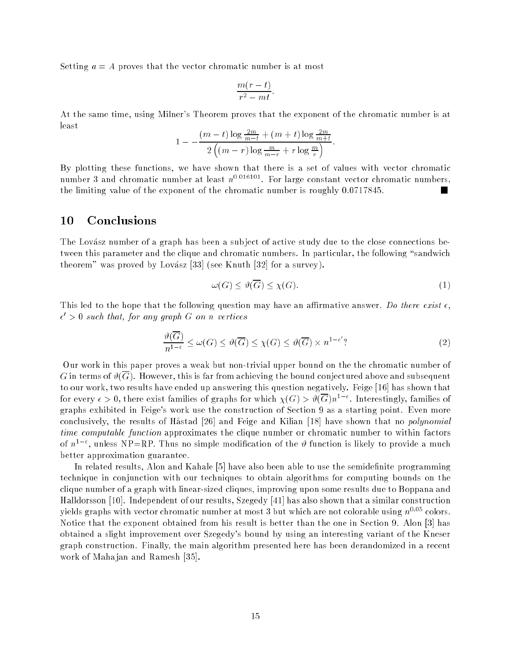Setting  $a = A$  proves that the vector chromatic number is at most

$$
\frac{m(r-t)}{r^2-mt}.
$$

At the same time, using Milner's Theorem proves that the exponent of the chromatic number is at least

$$
1 - -\frac{(m-t)\log\frac{2m}{m-t} + (m+t)\log\frac{2m}{m+t}}{2\left((m-r)\log\frac{m}{m-r} + r\log\frac{m}{r}\right)}.
$$

By plotting these functions, we have shown that there is a set of values with vector chromatic number 3 and chromatic number at least n0:016101 . For large constant vector chromatic numbers, the limiting value of the exponent of the chromatic number is roughly 0:0717845. **I** 

#### $10$ **Conclusions**

The Lovász number of a graph has been a subject of active study due to the close connections between this parameter and the clique and chromatic numbers. In particular, the following "sandwich theorem" was proved by Lovász [33] (see Knuth [32] for a survey).

$$
\omega(G) \le \vartheta(\overline{G}) \le \chi(G). \tag{1}
$$

This led to the hope that the following question may have an affirmative answer. Do there exist  $\epsilon$ ,  $\epsilon' > 0$  such that, for any graph G on n vertices

$$
\frac{\vartheta(\overline{G})}{n^{1-\epsilon}} \le \omega(G) \le \vartheta(\overline{G}) \le \chi(G) \le \vartheta(\overline{G}) \times n^{1-\epsilon'}?
$$
\n(2)

Our work in this paper proves a weak but non-trivial upper bound on the the chromatic number of G in terms of  $\vartheta(\overline{G})$ . However, this is far from achieving the bound conjectured above and subsequent to our work, two results have ended up answering this question negatively. Feige [16] has shown that for every  $\epsilon > 0$ , there exist families of graphs for which  $\chi(G) > \vartheta(G) n^{1-\epsilon}$ . Interestingly, families of graphs exhibited in Feige's work use the construction of Section 9 as a starting point. Even more conclusively, the results of Hastad [26] and Feige and Kilian [18] have shown that no polynomial time computable function approximates the clique number or chromatic number to within factors of  $n^{1-\epsilon}$ , unless NP=RP. Thus no simple modification of the  $\vartheta$  function is likely to provide a much better approximation guarantee.

In related results, Alon and Kahale [5] have also been able to use the semidefinite programming technique in conjunction with our techniques to obtain algorithms for computing bounds on the clique number of a graph with linear-sized cliques, improving upon some results due to Boppana and Halldorsson [10]. Independent of our results, Szegedy [41] has also shown that a similar construction yields graphs with vector chromatic number at most 3 but which are not colorable using  $n^{0.05}$  colors. Notice that the exponent obtained from his result is better than the one in Section 9. Alon [3] has obtained a slight improvement over Szegedy's bound by using an interesting variant of the Kneser graph construction. Finally, the main algorithm presented here has been derandomized in a recent work of Maha jan and Ramesh [35].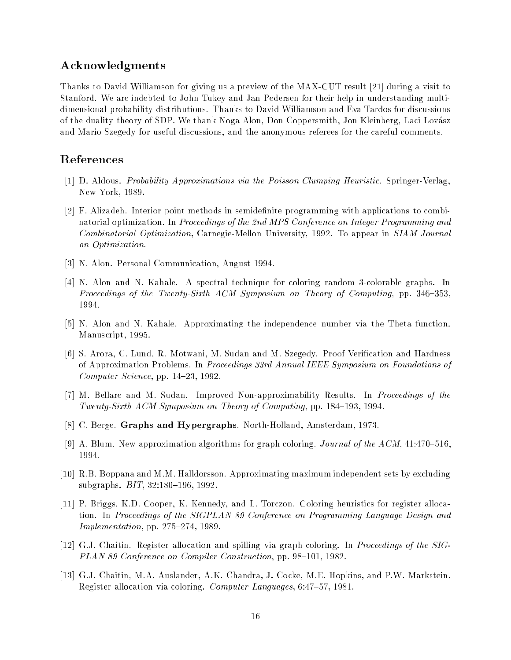# Acknowledgments

Thanks to David Williamson for giving us a preview of the MAX-CUT result [21] during a visit to Stanford. We are indebted to John Tukey and Jan Pedersen for their help in understanding multidimensional probability distributions. Thanks to David Williamson and Eva Tardos for discussions of the duality theory of SDP. We thank Noga Alon, Don Coppersmith, Jon Kleinberg, Laci Lovasz and Mario Szegedy for useful discussions, and the anonymous referees for the careful comments.

# References

- [1] D. Aldous. Probability Approximations via the Poisson Clumping Heuristic. Springer-Verlag, New York, 1989.
- [2] F. Alizadeh. Interior point methods in semidefinite programming with applications to combinatorial optimization. In Proceedings of the 2nd MPS Conference on Integer Programming and Combinatorial Optimization, Carnegie-Mellon University, 1992. To appear in SIAM Journal on Optimization.
- [3] N. Alon. Personal Communication, August 1994.
- [4] N. Alon and N. Kahale. A spectral technique for coloring random 3-colorable graphs. In Proceedings of the Twenty-Sixth ACM Symposium on Theory of Computing, pp. 346-353. 1994.
- [5] N. Alon and N. Kahale. Approximating the independence number via the Theta function. Manuscript, 1995.
- [6] S. Arora, C. Lund, R. Motwani, M. Sudan and M. Szegedy. Proof Verification and Hardness of Approximation Problems. In Proceedings 33rd Annual IEEE Symposium on Foundations of Computer Science, pp.  $14–23$ , 1992.
- [7] M. Bellare and M. Sudan. Improved Non-approximability Results. In Proceedings of the Twenty-Sixth ACM Symposium on Theory of Computing, pp. 184–193, 1994.
- [8] C. Berge. Graphs and Hypergraphs. North-Holland, Amsterdam, 1973.
- [9] A. Blum. New approximation algorithms for graph coloring. Journal of the ACM, 41:470-516, 1994.
- [10] R.B. Boppana and M.M. Halldorsson. Approximating maximum independent sets by excluding subgraphs.  $BIT, 32:180-196, 1992.$
- [11] P. Briggs, K.D. Cooper, K. Kennedy, and L. Torczon. Coloring heuristics for register allocation. In Proceedings of the SIGPLAN 89 Conference on Programming Language Design and *Implementation*, pp. 275-274, 1989.
- [12] G.J. Chaitin. Register allocation and spilling via graph coloring. In Proceedings of the SIG-PLAN 89 Conference on Compiler Construction, pp. 98–101, 1982.
- [13] G.J. Chaitin, M.A. Auslander, A.K. Chandra, J. Cocke, M.E. Hopkins, and P.W. Markstein. Register allocation via coloring. Computer Languages, 6:47-57, 1981.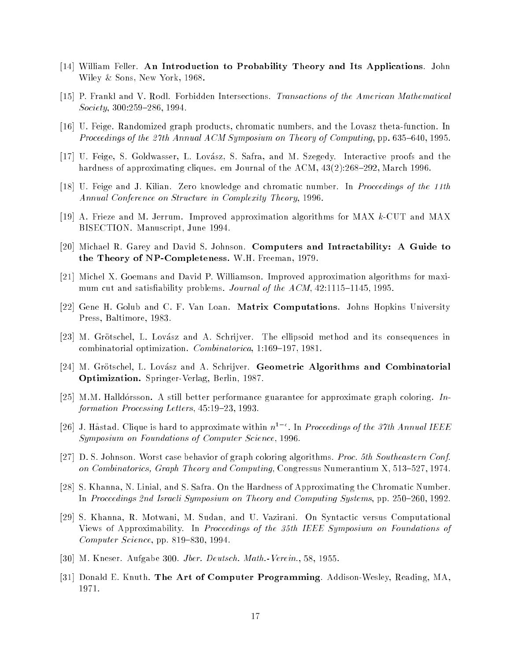- [14] William Feller. An Introduction to Probability Theory and Its Applications. John Wiley & Sons, New York, 1968.
- [15] P. Frankl and V. Rodl. Forbidden Intersections. Transactions of the American Mathematical  $Society, 300:259–286, 1994.$
- [16] U. Feige. Randomized graph products, chromatic numbers, and the Lovasz theta-function. In Proceedings of the 27th Annual ACM Symposium on Theory of Computing, pp. 635-640, 1995.
- [17] U. Feige, S. Goldwasser, L. Lovász, S. Safra, and M. Szegedy. Interactive proofs and the hardness of approximating cliques. em Journal of the ACM,  $43(2):268{-}292$ , March 1996.
- [18] U. Feige and J. Kilian. Zero knowledge and chromatic number. In Proceedings of the 11th Annual Conference on Structure in Complexity Theory, 1996.
- [19] A. Frieze and M. Jerrum. Improved approximation algorithms for MAX k-CUT and MAX BISECTION. Manuscript, June 1994.
- [20] Michael R. Garey and David S. Johnson. Computers and Intractability: A Guide to the Theory of NP-Completeness. W.H. Freeman, 1979.
- [21] Michel X. Goemans and David P. Williamson. Improved approximation algorithms for maximum cut and satisfiability problems. Journal of the  $ACM$ , 42:1115-1145, 1995.
- [22] Gene H. Golub and C. F. Van Loan. Matrix Computations. Johns Hopkins University Press, Baltimore, 1983.
- [23] M. Grötschel, L. Lovász and A. Schrijver. The ellipsoid method and its consequences in combinatorial optimization. Combinatorica, 1:169-197, 1981.
- [24] M. Grötschel, L. Lovász and A. Schrijver. Geometric Algorithms and Combinatorial Optimization. Springer-Verlag, Berlin, 1987.
- [25] M.M. Halldorsson. A still better performance guarantee for approximate graph coloring. Information Processing Letters,  $45:19-23$ , 1993.
- [26] J. Hastad. Unque is hard to approximate within  $n^+$  ". In Proceedings of the 37th Annual IEEE Symposium on Foundations of Computer Science, 1996.
- [27] D. S. Johnson. Worst case behavior of graph coloring algorithms. Proc. 5th Southeastern Conf. on Combinatorics, Graph Theory and Computing, Congressus Numerantium X,  $513{-}527$ ,  $1974$ .
- [28] S. Khanna, N. Linial, and S. Safra. On the Hardness of Approximating the Chromatic Number. In Proceedings 2nd Israeli Symposium on Theory and Computing Systems, pp. 250–260, 1992.
- [29] S. Khanna, R. Motwani, M. Sudan, and U. Vazirani. On Syntactic versus Computational Views of Approximability. In Proceedings of the 35th IEEE Symposium on Foundations of Computer Science, pp. 819-830, 1994.
- [30] M. Kneser. Aufgabe 300. Jber. Deutsch. Math.-Verein., 58, 1955.
- [31] Donald E. Knuth. The Art of Computer Programming. Addison-Wesley, Reading, MA, 1971.